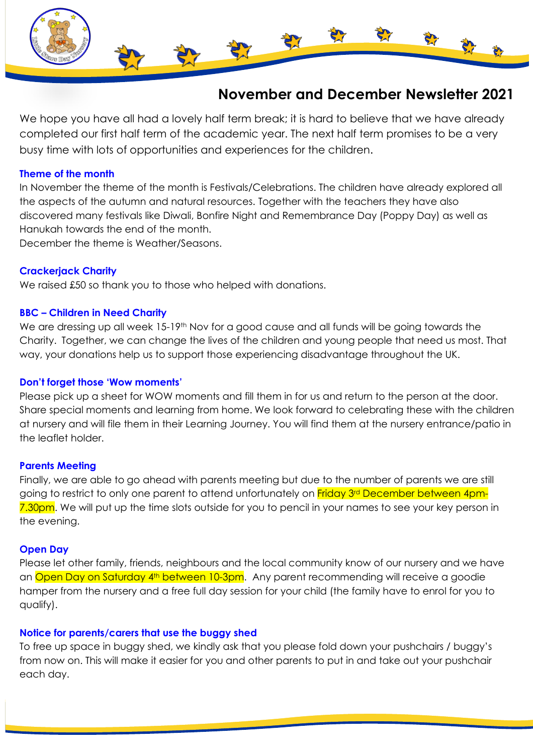

# **November and December Newsletter 2021**

We hope you have all had a lovely half term break; it is hard to believe that we have already completed our first half term of the academic year. The next half term promises to be a very busy time with lots of opportunities and experiences for the children.

## **Theme of the month**

In November the theme of the month is Festivals/Celebrations. The children have already explored all the aspects of the autumn and natural resources. Together with the teachers they have also discovered many festivals like Diwali, Bonfire Night and Remembrance Day (Poppy Day) as well as Hanukah towards the end of the month.

December the theme is Weather/Seasons.

# **Crackerjack Charity**

We raised £50 so thank you to those who helped with donations.

## **BBC – Children in Need Charity**

We are dressing up all week 15-19<sup>th</sup> Nov for a good cause and all funds will be going towards the Charity. Together, we can change the lives of the children and young people that need us most. That way, your donations help us to support those experiencing disadvantage throughout the UK.

### **Don't forget those 'Wow moments'**

Please pick up a sheet for WOW moments and fill them in for us and return to the person at the door. Share special moments and learning from home. We look forward to celebrating these with the children at nursery and will file them in their Learning Journey. You will find them at the nursery entrance/patio in the leaflet holder.

### **Parents Meeting**

Finally, we are able to go ahead with parents meeting but due to the number of parents we are still going to restrict to only one parent to attend unfortunately on Friday 3<sup>rd</sup> December between 4pm-7.30pm. We will put up the time slots outside for you to pencil in your names to see your key person in the evening.

### **Open Day**

Please let other family, friends, neighbours and the local community know of our nursery and we have an Open Day on Saturday 4<sup>th</sup> between 10-3pm. Any parent recommending will receive a goodie hamper from the nursery and a free full day session for your child (the family have to enrol for you to qualify).

### **Notice for parents/carers that use the buggy shed**

To free up space in buggy shed, we kindly ask that you please fold down your pushchairs / buggy's from now on. This will make it easier for you and other parents to put in and take out your pushchair each day.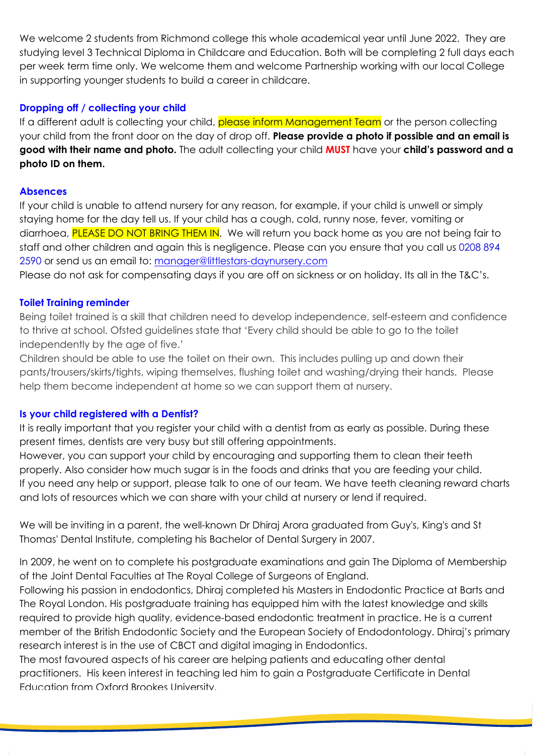We welcome 2 students from Richmond college this whole academical year until June 2022. They are studying level 3 Technical Diploma in Childcare and Education. Both will be completing 2 full days each per week term time only. We welcome them and welcome Partnership working with our local College in supporting younger students to build a career in childcare.

# **Dropping off / collecting your child**

If a different adult is collecting your child, please inform Management Team or the person collecting your child from the front door on the day of drop off. **Please provide a photo if possible and an email is good with their name and photo.** The adult collecting your child **MUST** have your **child's password and a photo ID on them.**

# **Absences**

If your child is unable to attend nursery for any reason, for example, if your child is unwell or simply staying home for the day tell us. If your child has a cough, cold, runny nose, fever, vomiting or diarrhoea, PLEASE DO NOT BRING THEM IN. We will return you back home as you are not being fair to staff and other children and again this is negligence. Please can you ensure that you call us 0208 894 2590 or send us an email to: [manager@littlestars-daynursery.com](mailto:manager@littlestars-daynursery.com)

Please do not ask for compensating days if you are off on sickness or on holiday. Its all in the T&C's.

## **Toilet Training reminder**

Being toilet trained is a skill that children need to develop independence, self-esteem and confidence to thrive at school. Ofsted guidelines state that 'Every child should be able to go to the toilet independently by the age of five.'

Children should be able to use the toilet on their own. This includes pulling up and down their pants/trousers/skirts/tights, wiping themselves, flushing toilet and washing/drying their hands. Please help them become independent at home so we can support them at nursery.

# **Is your child registered with a Dentist?**

It is really important that you register your child with a dentist from as early as possible. During these present times, dentists are very busy but still offering appointments.

However, you can support your child by encouraging and supporting them to clean their teeth properly. Also consider how much sugar is in the foods and drinks that you are feeding your child. If you need any help or support, please talk to one of our team. We have teeth cleaning reward charts and lots of resources which we can share with your child at nursery or lend if required.

We will be inviting in a parent, the well-known Dr Dhiraj Arora graduated from Guy's, King's and St Thomas' Dental Institute, completing his Bachelor of Dental Surgery in 2007.

In 2009, he went on to complete his postgraduate examinations and gain The Diploma of Membership of the Joint Dental Faculties at The Royal College of Surgeons of England.

Following his passion in endodontics, Dhiraj completed his Masters in Endodontic Practice at Barts and The Royal London. His postgraduate training has equipped him with the latest knowledge and skills required to provide high quality, evidence-based endodontic treatment in practice. He is a current member of the British Endodontic Society and the European Society of Endodontology. Dhiraj's primary research interest is in the use of CBCT and digital imaging in Endodontics.

Educational Supervisor with over 7 years' experience within the London Deanery. This, along with being

The most favoured aspects of his career are helping patients and educating other dental practitioners. His keen interest in teaching led him to gain a Postgraduate Certificate in Dental Education from Oxford Brookes University.